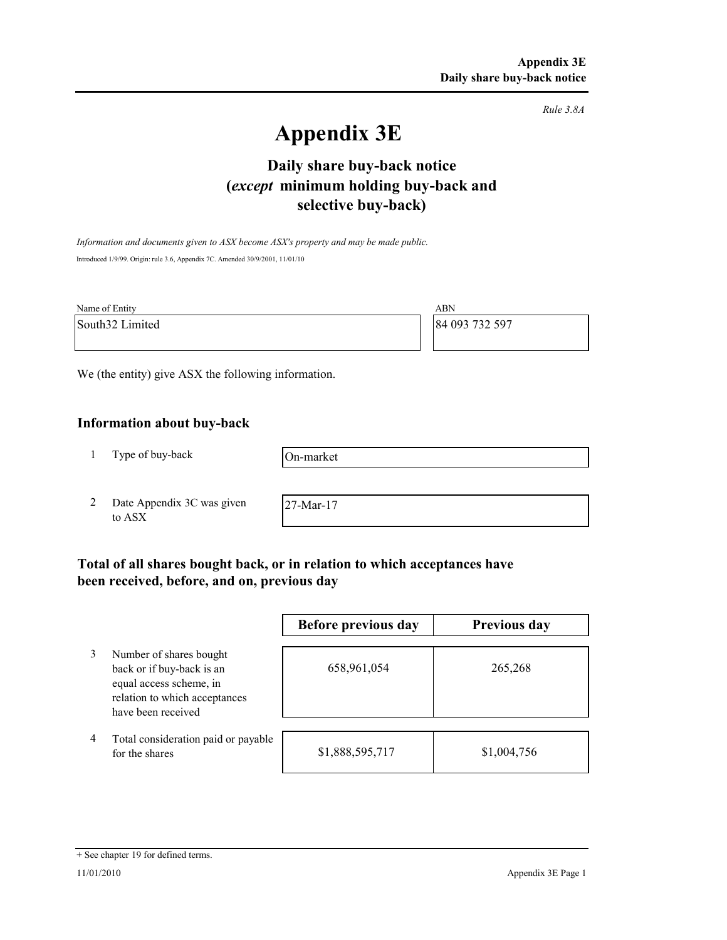*Rule 3.8A*

# **Appendix 3E**

# **selective buy-back) Daily share buy-back notice (***except* **minimum holding buy-back and**

*Information and documents given to ASX become ASX's property and may be made public.* Introduced 1/9/99. Origin: rule 3.6, Appendix 7C. Amended 30/9/2001, 11/01/10

| Name of Entity  | ABN            |
|-----------------|----------------|
| South32 Limited | 84 093 732 597 |
|                 |                |

We (the entity) give ASX the following information.

# **Information about buy-back**

1 Type of buy-back

On-market

2 Date Appendix 3C was given to ASX

27-Mar-17

# **Total of all shares bought back, or in relation to which acceptances have been received, before, and on, previous day**

|   |                                                                                                                                        | Before previous day | <b>Previous day</b> |
|---|----------------------------------------------------------------------------------------------------------------------------------------|---------------------|---------------------|
|   | Number of shares bought<br>back or if buy-back is an<br>equal access scheme, in<br>relation to which acceptances<br>have been received | 658,961,054         | 265,268             |
| 4 | Total consideration paid or payable<br>for the shares                                                                                  | \$1,888,595,717     | \$1,004,756         |

#### + See chapter 19 for defined terms.